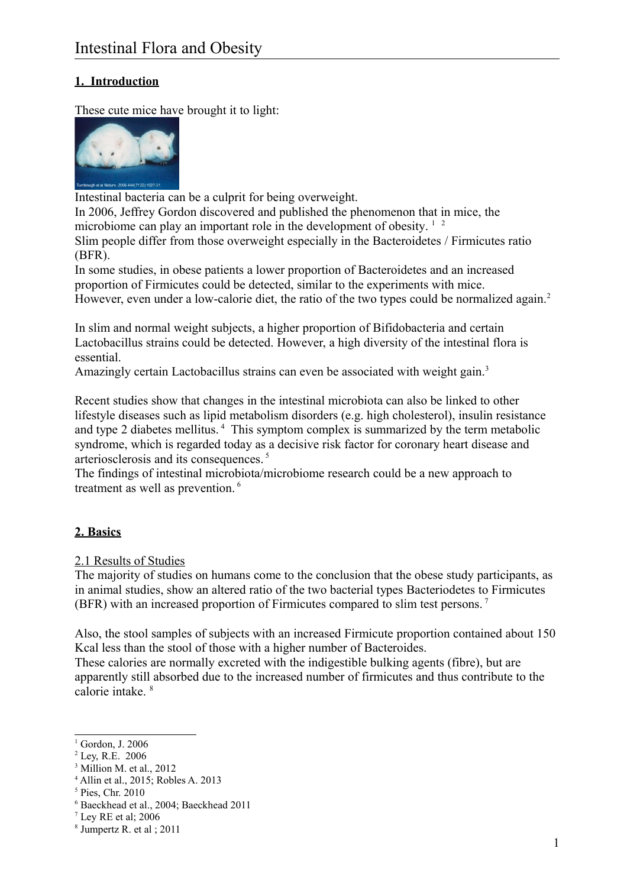# **1. Introduction**

These cute mice have brought it to light:



Intestinal bacteria can be a culprit for being overweight.

In 2006, Jeffrey Gordon discovered and published the phenomenon that in mice, the microbiome can play an important role in the development of obesity.  $1/2$  $1/2$  $1/2$ Slim people differ from those overweight especially in the Bacteroidetes / Firmicutes ratio (BFR).

In some studies, in obese patients a lower proportion of Bacteroidetes and an increased proportion of Firmicutes could be detected, similar to the experiments with mice. However, even under a low-calorie diet, the ratio of the two types could be normalized again.<sup>2</sup>

In slim and normal weight subjects, a higher proportion of Bifidobacteria and certain Lactobacillus strains could be detected. However, a high diversity of the intestinal flora is essential.

Amazingly certain Lactobacillus strains can even be associated with weight gain.<sup>[3](#page-0-2)</sup>

Recent studies show that changes in the intestinal microbiota can also be linked to other lifestyle diseases such as lipid metabolism disorders (e.g. high cholesterol), insulin resistance and type 2 diabetes mellitus.<sup>[4](#page-0-3)</sup> This symptom complex is summarized by the term metabolic syndrome, which is regarded today as a decisive risk factor for coronary heart disease and arteriosclerosis and its consequences.<sup>[5](#page-0-4)</sup>

The findings of intestinal microbiota/microbiome research could be a new approach to treatment as well as prevention. [6](#page-0-5)

# **2. Basics**

2.1 Results of Studies

The majority of studies on humans come to the conclusion that the obese study participants, as in animal studies, show an altered ratio of the two bacterial types Bacteriodetes to Firmicutes (BFR) with an increased proportion of Firmicutes compared to slim test persons. [7](#page-0-6)

Also, the stool samples of subjects with an increased Firmicute proportion contained about 150 Kcal less than the stool of those with a higher number of Bacteroides.

These calories are normally excreted with the indigestible bulking agents (fibre), but are apparently still absorbed due to the increased number of firmicutes and thus contribute to the calorie intake. [8](#page-0-7)

<span id="page-0-0"></span><sup>&</sup>lt;sup>1</sup> Gordon, J. 2006

<span id="page-0-1"></span> $2$  Ley, R.E. 2006

<span id="page-0-2"></span><sup>&</sup>lt;sup>3</sup> Million M. et al., 2012

<span id="page-0-3"></span><sup>4</sup> Allin et al., 2015; Robles A. 2013

<span id="page-0-4"></span><sup>5</sup> Pies, Chr. 2010

<span id="page-0-5"></span><sup>6</sup> Baeckhead et al., 2004; Baeckhead 2011

<span id="page-0-6"></span><sup>7</sup> Ley RE et al; 2006

<span id="page-0-7"></span><sup>8</sup> Jumpertz R. et al ; 2011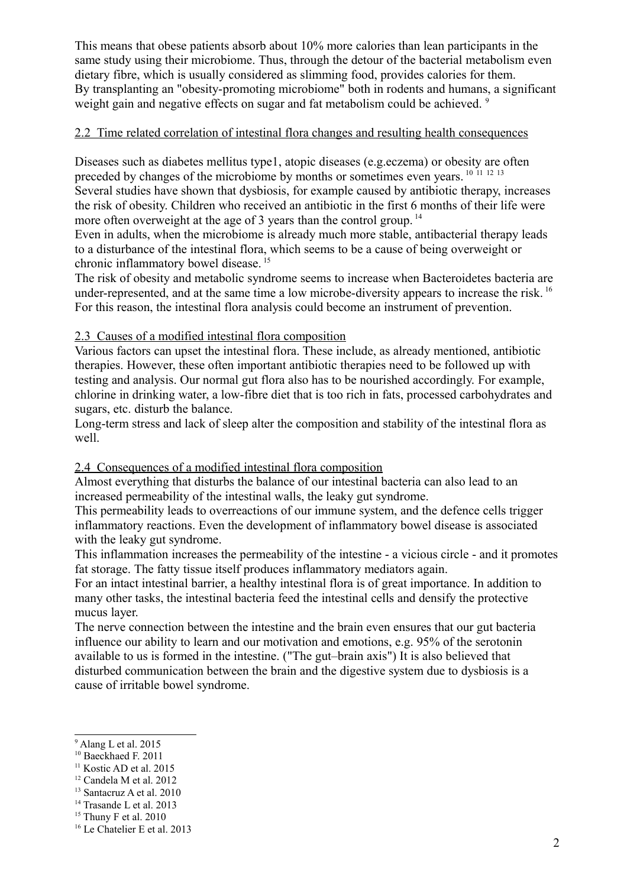This means that obese patients absorb about 10% more calories than lean participants in the same study using their microbiome. Thus, through the detour of the bacterial metabolism even dietary fibre, which is usually considered as slimming food, provides calories for them. By transplanting an "obesity-promoting microbiome" both in rodents and humans, a significant weight gain and negative effects on sugar and fat metabolism could be achieved.<sup>[9](#page-1-0)</sup>

#### 2.2 Time related correlation of intestinal flora changes and resulting health consequences

Diseases such as diabetes mellitus type1, atopic diseases (e.g.eczema) or obesity are often preceded by changes of the microbiome by months or sometimes even years.<sup>[10](#page-1-1) [11](#page-1-2) [12](#page-1-3) [13](#page-1-4)</sup> Several studies have shown that dysbiosis, for example caused by antibiotic therapy, increases the risk of obesity. Children who received an antibiotic in the first 6 months of their life were more often overweight at the age of 3 years than the control group.<sup>[14](#page-1-5)</sup>

Even in adults, when the microbiome is already much more stable, antibacterial therapy leads to a disturbance of the intestinal flora, which seems to be a cause of being overweight or chronic inflammatory bowel disease.<sup>[15](#page-1-6)</sup>

The risk of obesity and metabolic syndrome seems to increase when Bacteroidetes bacteria are under-represented, and at the same time a low microbe-diversity appears to increase the risk. <sup>[16](#page-1-7)</sup> For this reason, the intestinal flora analysis could become an instrument of prevention.

### 2.3 Causes of a modified intestinal flora composition

Various factors can upset the intestinal flora. These include, as already mentioned, antibiotic therapies. However, these often important antibiotic therapies need to be followed up with testing and analysis. Our normal gut flora also has to be nourished accordingly. For example, chlorine in drinking water, a low-fibre diet that is too rich in fats, processed carbohydrates and sugars, etc. disturb the balance.

Long-term stress and lack of sleep alter the composition and stability of the intestinal flora as well.

### 2.4 Consequences of a modified intestinal flora composition

Almost everything that disturbs the balance of our intestinal bacteria can also lead to an increased permeability of the intestinal walls, the leaky gut syndrome.

This permeability leads to overreactions of our immune system, and the defence cells trigger inflammatory reactions. Even the development of inflammatory bowel disease is associated with the leaky gut syndrome.

This inflammation increases the permeability of the intestine - a vicious circle - and it promotes fat storage. The fatty tissue itself produces inflammatory mediators again.

For an intact intestinal barrier, a healthy intestinal flora is of great importance. In addition to many other tasks, the intestinal bacteria feed the intestinal cells and densify the protective mucus layer.

The nerve connection between the intestine and the brain even ensures that our gut bacteria influence our ability to learn and our motivation and emotions, e.g. 95% of the serotonin available to us is formed in the intestine. ("The gut–brain axis") It is also believed that disturbed communication between the brain and the digestive system due to dysbiosis is a cause of irritable bowel syndrome.

<span id="page-1-0"></span><sup>&</sup>lt;sup>9</sup> Alang L et al. 2015

<span id="page-1-1"></span><sup>&</sup>lt;sup>10</sup> Baeckhaed F. 2011

<span id="page-1-2"></span><sup>&</sup>lt;sup>11</sup> Kostic AD et al. 2015

<span id="page-1-3"></span><sup>&</sup>lt;sup>12</sup> Candela M et al. 2012

<span id="page-1-4"></span><sup>&</sup>lt;sup>13</sup> Santacruz A et al. 2010

<span id="page-1-5"></span><sup>&</sup>lt;sup>14</sup> Trasande L et al. 2013

<span id="page-1-6"></span><sup>&</sup>lt;sup>15</sup> Thuny F et al. 2010

<span id="page-1-7"></span><sup>&</sup>lt;sup>16</sup> Le Chatelier E et al. 2013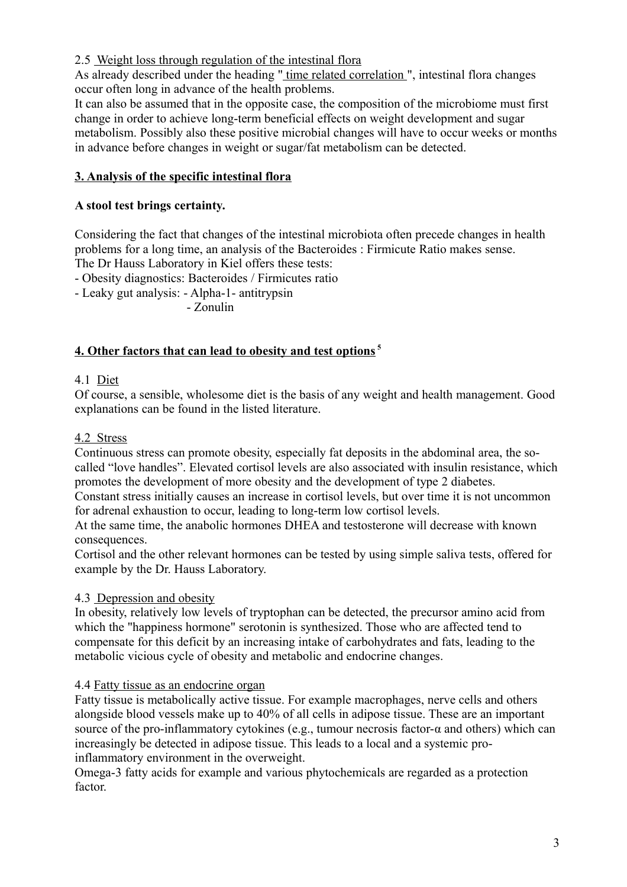2.5 Weight loss through regulation of the intestinal flora

As already described under the heading " time related correlation ", intestinal flora changes occur often long in advance of the health problems.

It can also be assumed that in the opposite case, the composition of the microbiome must first change in order to achieve long-term beneficial effects on weight development and sugar metabolism. Possibly also these positive microbial changes will have to occur weeks or months in advance before changes in weight or sugar/fat metabolism can be detected.

# **3. Analysis of the specific intestinal flora**

### **A stool test brings certainty.**

Considering the fact that changes of the intestinal microbiota often precede changes in health problems for a long time, an analysis of the Bacteroides : Firmicute Ratio makes sense. The Dr Hauss Laboratory in Kiel offers these tests:

- Obesity diagnostics: Bacteroides / Firmicutes ratio

- Leaky gut analysis: - Alpha-1- antitrypsin

- Zonulin

# **4.Other factors that can lead to obesity and test options<sup>5</sup>**

### 4.1 Diet

Of course, a sensible, wholesome diet is the basis of any weight and health management. Good explanations can be found in the listed literature.

### 4.2 Stress

Continuous stress can promote obesity, especially fat deposits in the abdominal area, the socalled "love handles". Elevated cortisol levels are also associated with insulin resistance, which promotes the development of more obesity and the development of type 2 diabetes.

Constant stress initially causes an increase in cortisol levels, but over time it is not uncommon for adrenal exhaustion to occur, leading to long-term low cortisol levels.

At the same time, the anabolic hormones DHEA and testosterone will decrease with known consequences.

Cortisol and the other relevant hormones can be tested by using simple saliva tests, offered for example by the Dr. Hauss Laboratory.

# 4.3 Depression and obesity

In obesity, relatively low levels of tryptophan can be detected, the precursor amino acid from which the "happiness hormone" serotonin is synthesized. Those who are affected tend to compensate for this deficit by an increasing intake of carbohydrates and fats, leading to the metabolic vicious cycle of obesity and metabolic and endocrine changes.

### 4.4 Fatty tissue as an endocrine organ

Fatty tissue is metabolically active tissue. For example macrophages, nerve cells and others alongside blood vessels make up to 40% of all cells in adipose tissue. These are an important source of the pro-inflammatory cytokines (e.g., tumour necrosis factor- $\alpha$  and others) which can increasingly be detected in adipose tissue. This leads to a local and a systemic proinflammatory environment in the overweight.

Omega-3 fatty acids for example and various phytochemicals are regarded as a protection factor.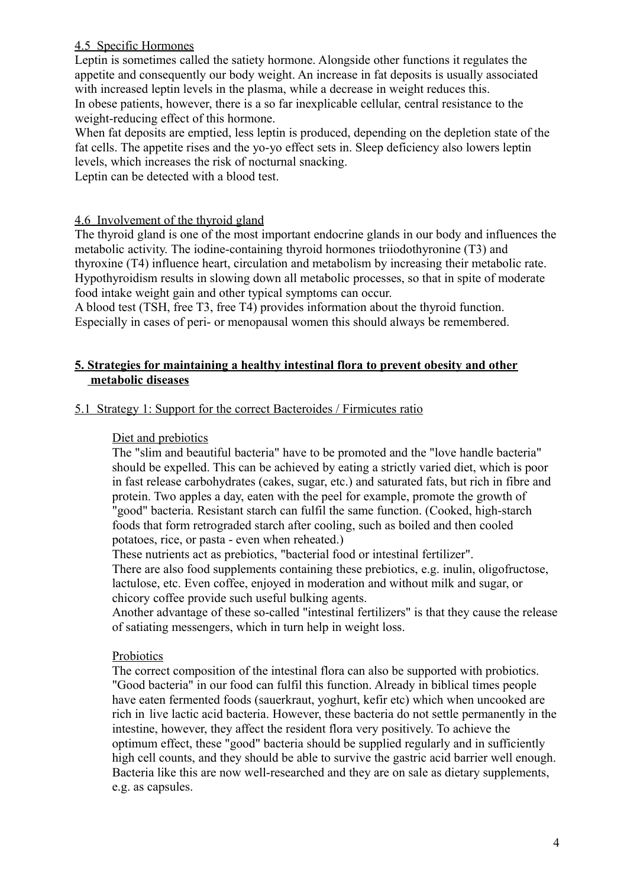### 4.5 Specific Hormones

Leptin is sometimes called the satiety hormone. Alongside other functions it regulates the appetite and consequently our body weight. An increase in fat deposits is usually associated with increased leptin levels in the plasma, while a decrease in weight reduces this. In obese patients, however, there is a so far inexplicable cellular, central resistance to the weight-reducing effect of this hormone.

When fat deposits are emptied, less leptin is produced, depending on the depletion state of the fat cells. The appetite rises and the yo-yo effect sets in. Sleep deficiency also lowers leptin levels, which increases the risk of nocturnal snacking.

Leptin can be detected with a blood test.

#### 4.6 Involvement of the thyroid gland

The thyroid gland is one of the most important endocrine glands in our body and influences the metabolic activity. The iodine-containing thyroid hormones triiodothyronine (T3) and thyroxine (T4) influence heart, circulation and metabolism by increasing their metabolic rate. Hypothyroidism results in slowing down all metabolic processes, so that in spite of moderate food intake weight gain and other typical symptoms can occur.

A blood test (TSH, free T3, free T4) provides information about the thyroid function. Especially in cases of peri- or menopausal women this should always be remembered.

#### **5.Strategies for maintaining a healthy intestinal flora to prevent obesity and other metabolic diseases**

#### 5.1 Strategy 1: Support for the correct Bacteroides / Firmicutes ratio

#### Diet and prebiotics

The "slim and beautiful bacteria" have to be promoted and the "love handle bacteria" should be expelled. This can be achieved by eating a strictly varied diet, which is poor in fast release carbohydrates (cakes, sugar, etc.) and saturated fats, but rich in fibre and protein. Two apples a day, eaten with the peel for example, promote the growth of "good" bacteria. Resistant starch can fulfil the same function. (Cooked, high-starch foods that form retrograded starch after cooling, such as boiled and then cooled potatoes, rice, or pasta - even when reheated.)

These nutrients act as prebiotics, "bacterial food or intestinal fertilizer".

There are also food supplements containing these prebiotics, e.g. inulin, oligofructose, lactulose, etc. Even coffee, enjoyed in moderation and without milk and sugar, or chicory coffee provide such useful bulking agents.

Another advantage of these so-called "intestinal fertilizers" is that they cause the release of satiating messengers, which in turn help in weight loss.

#### **Probiotics**

The correct composition of the intestinal flora can also be supported with probiotics. "Good bacteria" in our food can fulfil this function. Already in biblical times people have eaten fermented foods (sauerkraut, yoghurt, kefir etc) which when uncooked are rich in live lactic acid bacteria. However, these bacteria do not settle permanently in the intestine, however, they affect the resident flora very positively. To achieve the optimum effect, these "good" bacteria should be supplied regularly and in sufficiently high cell counts, and they should be able to survive the gastric acid barrier well enough. Bacteria like this are now well-researched and they are on sale as dietary supplements, e.g. as capsules.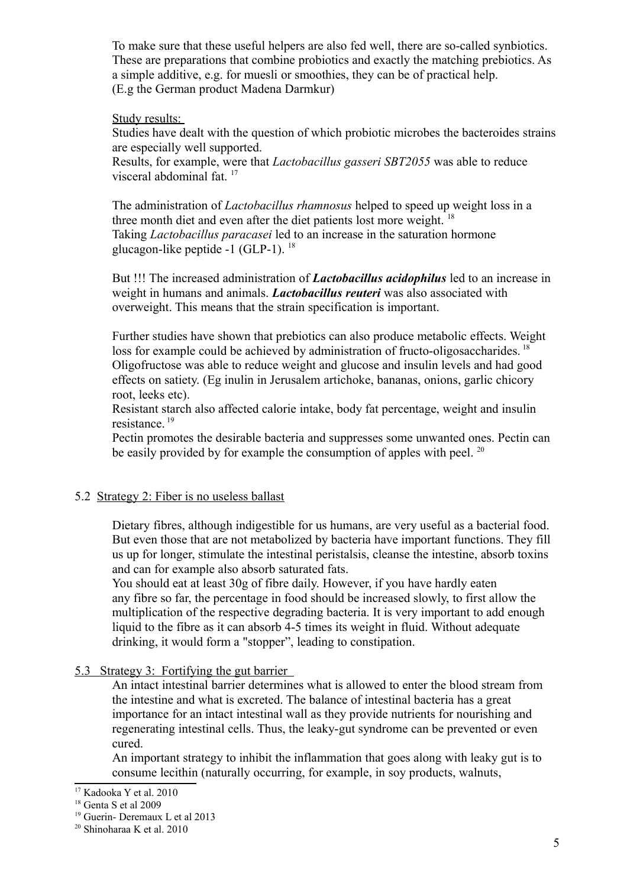To make sure that these useful helpers are also fed well, there are so-called synbiotics. These are preparations that combine probiotics and exactly the matching prebiotics. As a simple additive, e.g. for muesli or smoothies, they can be of practical help. (E.g the German product Madena Darmkur)

Study results:

Studies have dealt with the question of which probiotic microbes the bacteroides strains are especially well supported.

Results, for example, were that *Lactobacillus gasseri SBT2055* was able to reduce visceral abdominal fat.<sup>[17](#page-4-0)</sup>

The administration of *Lactobacillus rhamnosus* helped to speed up weight loss in a three month diet and even after the diet patients lost more weight. <sup>18</sup> Taking *Lactobacillus paracasei* led to an increase in the saturation hormone glucagon-like peptide -1 (GLP-1). <sup>18</sup>

But !!! The increased administration of *Lactobacillus acidophilus* led to an increase in weight in humans and animals. *Lactobacillus reuteri* was also associated with overweight. This means that the strain specification is important.

Further studies have shown that prebiotics can also produce metabolic effects. Weight loss for example could be achieved by administration of fructo-oligosaccharides.<sup>[18](#page-4-1)</sup> Oligofructose was able to reduce weight and glucose and insulin levels and had good effects on satiety. (Eg inulin in Jerusalem artichoke, bananas, onions, garlic chicory root, leeks etc).

Resistant starch also affected calorie intake, body fat percentage, weight and insulin resistance. [19](#page-4-2)

Pectin promotes the desirable bacteria and suppresses some unwanted ones. Pectin can be easily provided by for example the consumption of apples with peel. <sup>[20](#page-4-3)</sup>

### 5.2 Strategy 2: Fiber is no useless ballast

Dietary fibres, although indigestible for us humans, are very useful as a bacterial food. But even those that are not metabolized by bacteria have important functions. They fill us up for longer, stimulate the intestinal peristalsis, cleanse the intestine, absorb toxins and can for example also absorb saturated fats.

You should eat at least 30g of fibre daily. However, if you have hardly eaten any fibre so far, the percentage in food should be increased slowly, to first allow the multiplication of the respective degrading bacteria. It is very important to add enough liquid to the fibre as it can absorb 4-5 times its weight in fluid. Without adequate drinking, it would form a "stopper", leading to constipation.

#### 5.3 Strategy 3: Fortifying the gut barrier

An intact intestinal barrier determines what is allowed to enter the blood stream from the intestine and what is excreted. The balance of intestinal bacteria has a great importance for an intact intestinal wall as they provide nutrients for nourishing and regenerating intestinal cells. Thus, the leaky-gut syndrome can be prevented or even cured.

An important strategy to inhibit the inflammation that goes along with leaky gut is to consume lecithin (naturally occurring, for example, in soy products, walnuts,

<span id="page-4-0"></span><sup>17</sup> Kadooka Y et al. 2010

<span id="page-4-1"></span><sup>&</sup>lt;sup>18</sup> Genta S et al 2009

<span id="page-4-2"></span><sup>&</sup>lt;sup>19</sup> Guerin- Deremaux L et al 2013

<span id="page-4-3"></span> $20$  Shinoharaa K et al. 2010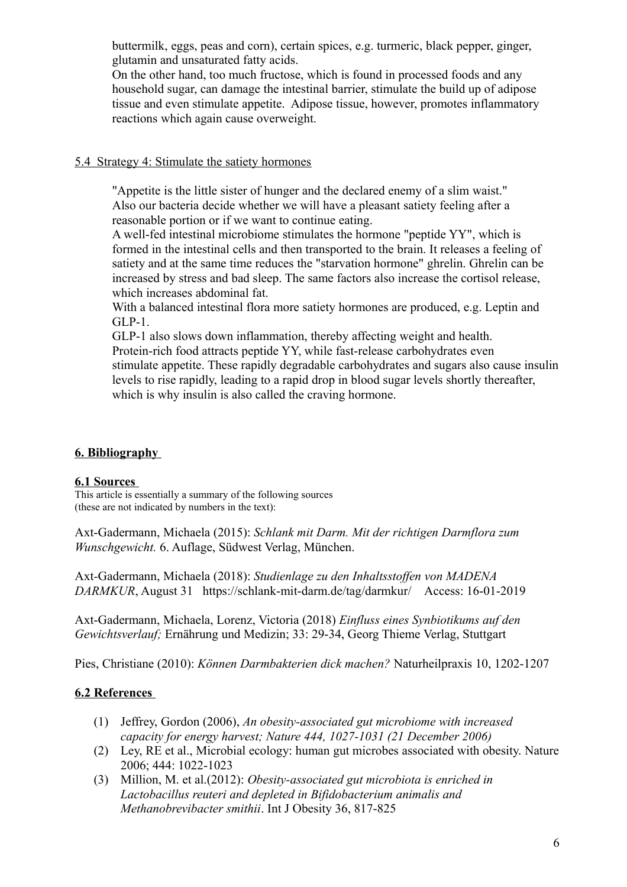buttermilk, eggs, peas and corn), certain spices, e.g. turmeric, black pepper, ginger, glutamin and unsaturated fatty acids.

On the other hand, too much fructose, which is found in processed foods and any household sugar, can damage the intestinal barrier, stimulate the build up of adipose tissue and even stimulate appetite. Adipose tissue, however, promotes inflammatory reactions which again cause overweight.

#### 5.4 Strategy 4: Stimulate the satiety hormones

"Appetite is the little sister of hunger and the declared enemy of a slim waist." Also our bacteria decide whether we will have a pleasant satiety feeling after a reasonable portion or if we want to continue eating.

A well-fed intestinal microbiome stimulates the hormone "peptide YY", which is formed in the intestinal cells and then transported to the brain. It releases a feeling of satiety and at the same time reduces the "starvation hormone" ghrelin. Ghrelin can be increased by stress and bad sleep. The same factors also increase the cortisol release, which increases abdominal fat.

With a balanced intestinal flora more satiety hormones are produced, e.g. Leptin and GLP-1.

GLP-1 also slows down inflammation, thereby affecting weight and health. Protein-rich food attracts peptide YY, while fast-release carbohydrates even stimulate appetite. These rapidly degradable carbohydrates and sugars also cause insulin levels to rise rapidly, leading to a rapid drop in blood sugar levels shortly thereafter, which is why insulin is also called the craving hormone.

### **6. Bibliography**

#### **6.1 Sources**

This article is essentially a summary of the following sources (these are not indicated by numbers in the text):

Axt-Gadermann, Michaela (2015): *Schlank mit Darm. Mit der richtigen Darmflora zum Wunschgewicht.* 6. Auflage, Südwest Verlag, München.

Axt*-*Gadermann, Michaela (2018): *Studienlage zu den Inhaltsstoffen von MADENA DARMKUR*, August 31 https://schlank-mit-darm.de/tag/darmkur/ Access: 16-01-2019

Axt-Gadermann, Michaela, Lorenz, Victoria (2018) *Einfluss eines Synbiotikums auf den Gewichtsverlauf;* Ernährung und Medizin; 33: 29-34, Georg Thieme Verlag, Stuttgart

Pies, Christiane (2010): *Können Darmbakterien dick machen?* Naturheilpraxis 10, 1202-1207

### **6.2 References**

- (1) Jeffrey, Gordon (2006), *An obesity-associated gut microbiome with increased capacity for energy harvest; Nature 444, 1027-1031 (21 December 2006)*
- (2) Ley, RE et al., Microbial ecology: human gut microbes associated with obesity. Nature 2006; 444: 1022-1023
- (3) Million, M. et al.(2012): *Obesity-associated gut microbiota is enriched in Lactobacillus reuteri and depleted in Bifidobacterium animalis and Methanobrevibacter smithii*. Int J Obesity 36, 817-825